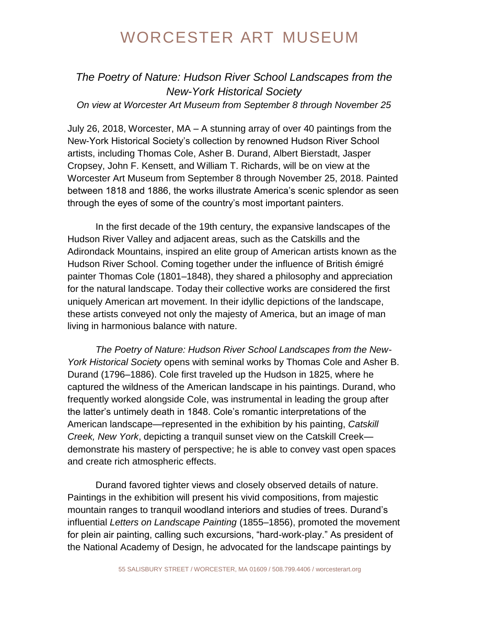## WORCESTER ART MUSEUM

*The Poetry of Nature: Hudson River School Landscapes from the New-York Historical Society On view at Worcester Art Museum from September 8 through November 25*

July 26, 2018, Worcester, MA – A stunning array of over 40 paintings from the New-York Historical Society's collection by renowned Hudson River School artists, including Thomas Cole, Asher B. Durand, Albert Bierstadt, Jasper Cropsey, John F. Kensett, and William T. Richards, will be on view at the Worcester Art Museum from September 8 through November 25, 2018. Painted between 1818 and 1886, the works illustrate America's scenic splendor as seen through the eyes of some of the country's most important painters.

In the first decade of the 19th century, the expansive landscapes of the Hudson River Valley and adjacent areas, such as the Catskills and the Adirondack Mountains, inspired an elite group of American artists known as the Hudson River School. Coming together under the influence of British émigré painter Thomas Cole (1801–1848), they shared a philosophy and appreciation for the natural landscape. Today their collective works are considered the first uniquely American art movement. In their idyllic depictions of the landscape, these artists conveyed not only the majesty of America, but an image of man living in harmonious balance with nature.

*The Poetry of Nature: Hudson River School Landscapes from the New-York Historical Society* opens with seminal works by Thomas Cole and Asher B. Durand (1796–1886). Cole first traveled up the Hudson in 1825, where he captured the wildness of the American landscape in his paintings. Durand, who frequently worked alongside Cole, was instrumental in leading the group after the latter's untimely death in 1848. Cole's romantic interpretations of the American landscape—represented in the exhibition by his painting, *Catskill Creek, New York*, depicting a tranquil sunset view on the Catskill Creek demonstrate his mastery of perspective; he is able to convey vast open spaces and create rich atmospheric effects.

Durand favored tighter views and closely observed details of nature. Paintings in the exhibition will present his vivid compositions, from majestic mountain ranges to tranquil woodland interiors and studies of trees. Durand's influential *Letters on Landscape Painting* (1855–1856), promoted the movement for plein air painting, calling such excursions, "hard-work-play." As president of the National Academy of Design, he advocated for the landscape paintings by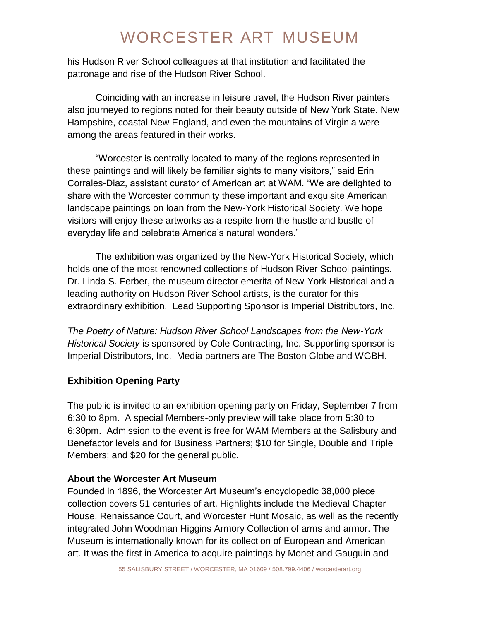# WORCESTER ART MUSEUM

his Hudson River School colleagues at that institution and facilitated the patronage and rise of the Hudson River School.

Coinciding with an increase in leisure travel, the Hudson River painters also journeyed to regions noted for their beauty outside of New York State. New Hampshire, coastal New England, and even the mountains of Virginia were among the areas featured in their works.

"Worcester is centrally located to many of the regions represented in these paintings and will likely be familiar sights to many visitors," said Erin Corrales-Diaz, assistant curator of American art at WAM. "We are delighted to share with the Worcester community these important and exquisite American landscape paintings on loan from the New-York Historical Society. We hope visitors will enjoy these artworks as a respite from the hustle and bustle of everyday life and celebrate America's natural wonders."

The exhibition was organized by the New-York Historical Society, which holds one of the most renowned collections of Hudson River School paintings. Dr. Linda S. Ferber, the museum director emerita of New-York Historical and a leading authority on Hudson River School artists, is the curator for this extraordinary exhibition. Lead Supporting Sponsor is Imperial Distributors, Inc.

*The Poetry of Nature: Hudson River School Landscapes from the New-York Historical Society* is sponsored by Cole Contracting, Inc. Supporting sponsor is Imperial Distributors, Inc. Media partners are The Boston Globe and WGBH.

### **Exhibition Opening Party**

The public is invited to an exhibition opening party on Friday, September 7 from 6:30 to 8pm. A special Members-only preview will take place from 5:30 to 6:30pm. Admission to the event is free for WAM Members at the Salisbury and Benefactor levels and for Business Partners; \$10 for Single, Double and Triple Members; and \$20 for the general public.

### **About the Worcester Art Museum**

Founded in 1896, the Worcester Art Museum's encyclopedic 38,000 piece collection covers 51 centuries of art. Highlights include the Medieval Chapter House, Renaissance Court, and Worcester Hunt Mosaic, as well as the recently integrated John Woodman Higgins Armory Collection of arms and armor. The Museum is internationally known for its collection of European and American art. It was the first in America to acquire paintings by Monet and Gauguin and